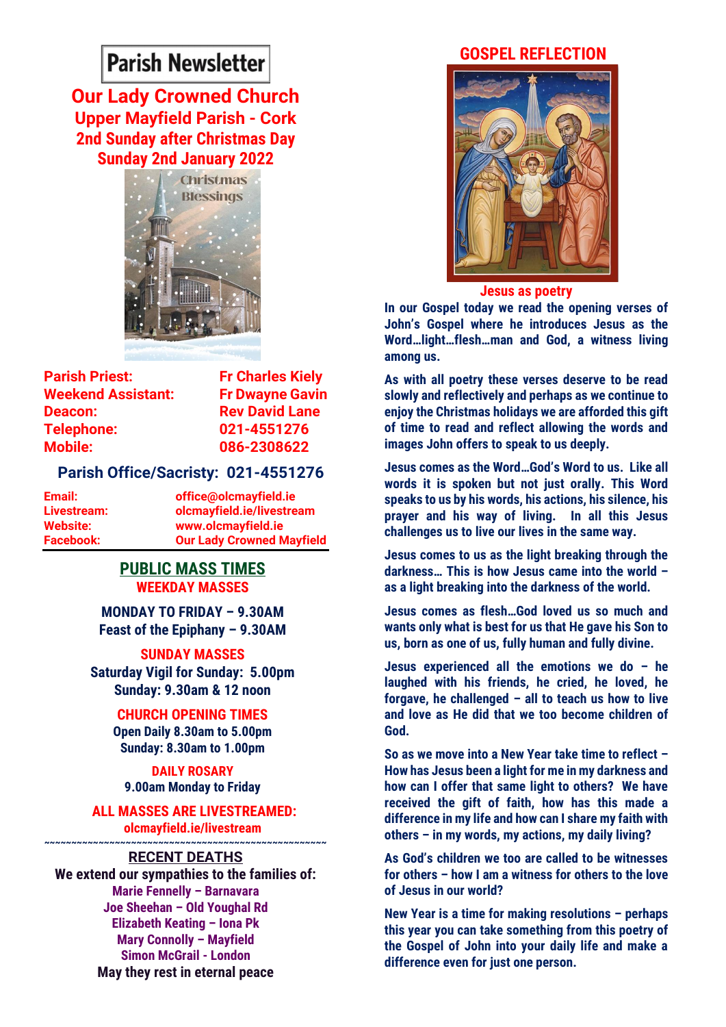# **Parish Newsletter**

**Our Lady Crowned Church Upper Mayfield Parish - Cork 2nd Sunday after Christmas Day Sunday 2nd January 2022**



**Parish Priest:** Fr Charles Kielv **Weekend Assistant: Fr Dwayne Gavin Deacon: Rev David Lane Telephone: 021-4551276 Mobile: 086-2308622** 

### **Parish Office/Sacristy: 021-4551276**

**Email: office@olcmayfield.ie Livestream: olcmayfield.ie/livestream Website: www.olcmayfield.ie Facebook: Our Lady Crowned Mayfield**

## **PUBLIC MASS TIMES WEEKDAY MASSES**

**MONDAY TO FRIDAY – 9.30AM Feast of the Epiphany – 9.30AM**

**SUNDAY MASSES Saturday Vigil for Sunday: 5.00pm Sunday: 9.30am & 12 noon**

> **CHURCH OPENING TIMES Open Daily 8.30am to 5.00pm Sunday: 8.30am to 1.00pm**

**DAILY ROSARY 9.00am Monday to Friday**

**ALL MASSES ARE LIVESTREAMED: olcmayfield.ie/livestream ~~~~~~~~~~~~~~~~~~~~~~~~~~~~~~~~~~~~~~~~~~~~~~~~~~~~**

# **RECENT DEATHS**

**We extend our sympathies to the families of: Marie Fennelly – Barnavara Joe Sheehan – Old Youghal Rd Elizabeth Keating – Iona Pk Mary Connolly – Mayfield Simon McGrail - London May they rest in eternal peace**

# **GOSPEL REFLECTION**



**Jesus as poetry**

**In our Gospel today we read the opening verses of John's Gospel where he introduces Jesus as the Word…light…flesh…man and God, a witness living among us.** 

**As with all poetry these verses deserve to be read slowly and reflectively and perhaps as we continue to enjoy the Christmas holidays we are afforded this gift of time to read and reflect allowing the words and images John offers to speak to us deeply.**

**Jesus comes as the Word…God's Word to us. Like all words it is spoken but not just orally. This Word speaks to us by his words, his actions, his silence, his prayer and his way of living. In all this Jesus challenges us to live our lives in the same way.** 

**Jesus comes to us as the light breaking through the darkness… This is how Jesus came into the world – as a light breaking into the darkness of the world.**

**Jesus comes as flesh…God loved us so much and wants only what is best for us that He gave his Son to us, born as one of us, fully human and fully divine.** 

**Jesus experienced all the emotions we do – he laughed with his friends, he cried, he loved, he forgave, he challenged – all to teach us how to live and love as He did that we too become children of God.** 

**So as we move into a New Year take time to reflect – How has Jesus been a light for me in my darkness and how can I offer that same light to others? We have received the gift of faith, how has this made a difference in my life and how can I share my faith with others – in my words, my actions, my daily living?**

**As God's children we too are called to be witnesses for others – how I am a witness for others to the love of Jesus in our world?**

**New Year is a time for making resolutions – perhaps this year you can take something from this poetry of the Gospel of John into your daily life and make a difference even for just one person.**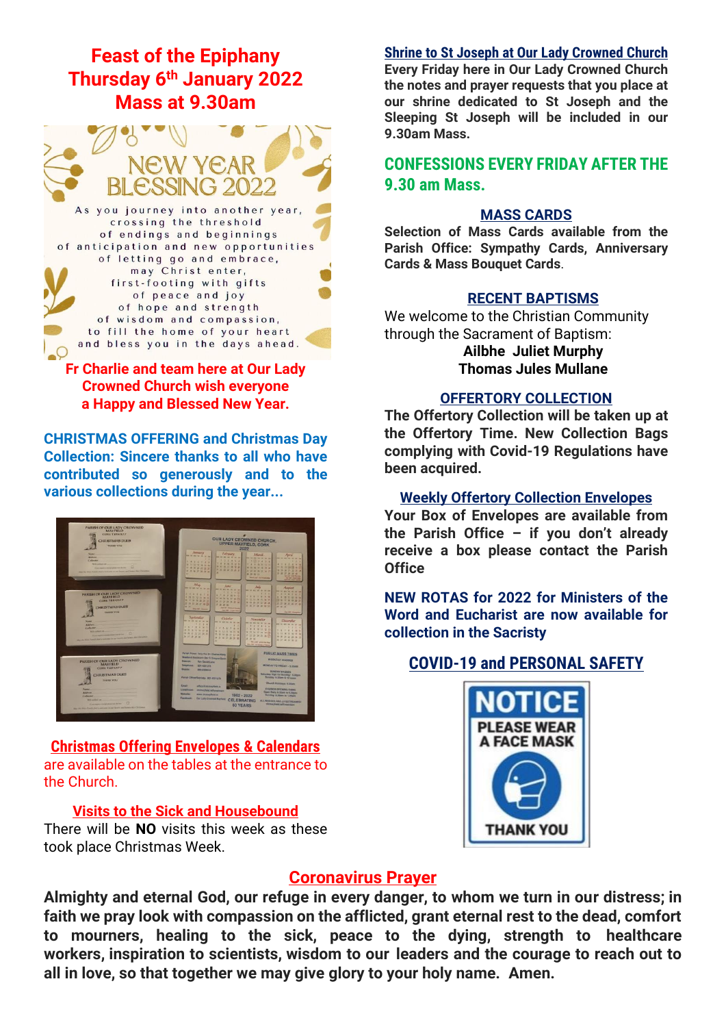# **Feast of the Epiphany Thursday 6 th January 2022 Mass at 9.30am**



# **Fr Charlie and team here at Our Lady Crowned Church wish everyone a Happy and Blessed New Year.**

**CHRISTMAS OFFERING and Christmas Day Collection: Sincere thanks to all who have contributed so generously and to the various collections during the year...**



**Christmas Offering Envelopes & Calendars** are available on the tables at the entrance to the Church.

#### **Visits to the Sick and Housebound**

There will be **NO** visits this week as these took place Christmas Week.

#### **Shrine to St Joseph at Our Lady Crowned Church**

**Every Friday here in Our Lady Crowned Church the notes and prayer requests that you place at our shrine dedicated to St Joseph and the Sleeping St Joseph will be included in our 9.30am Mass.** 

# **CONFESSIONS EVERY FRIDAY AFTER THE 9.30 am Mass.**

#### **MASS CARDS**

**Selection of Mass Cards available from the Parish Office: Sympathy Cards, Anniversary Cards & Mass Bouquet Cards**.

#### **RECENT BAPTISMS**

We welcome to the Christian Community through the Sacrament of Baptism: **Ailbhe Juliet Murphy**

**Thomas Jules Mullane**

## **OFFERTORY COLLECTION**

**The Offertory Collection will be taken up at the Offertory Time. New Collection Bags complying with Covid-19 Regulations have been acquired.** 

#### **Weekly Offertory Collection Envelopes**

**Your Box of Envelopes are available from the Parish Office – if you don't already receive a box please contact the Parish Office**

**NEW ROTAS for 2022 for Ministers of the Word and Eucharist are now available for collection in the Sacristy**

# **COVID-19 and PERSONAL SAFETY**



# **Coronavirus Prayer**

**Almighty and eternal God, our refuge in every danger, to whom we turn in our distress; in faith we pray look with compassion on the afflicted, grant eternal rest to the dead, comfort to mourners, healing to the sick, peace to the dying, strength to healthcare workers, inspiration to scientists, wisdom to our leaders and the courage to reach out to all in love, so that together we may give glory to your holy name. Amen.**